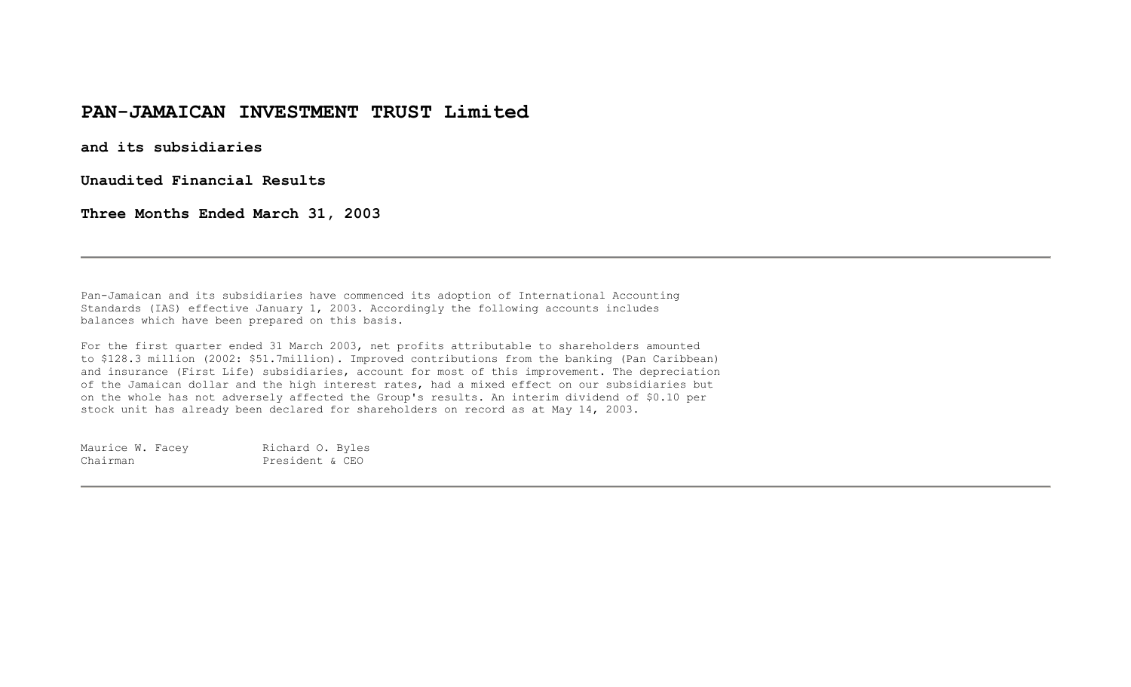# **PAN-JAMAICAN INVESTMENT TRUST Limited**

**and its subsidiaries** 

**Unaudited Financial Results** 

**Three Months Ended March 31, 2003** 

Pan-Jamaican and its subsidiaries have commenced its adoption of International Accounting Standards (IAS) effective January 1, 2003. Accordingly the following accounts includes balances which have been prepared on this basis.

For the first quarter ended 31 March 2003, net profits attributable to shareholders amounted to \$128.3 million (2002: \$51.7million). Improved contributions from the banking (Pan Caribbean) and insurance (First Life) subsidiaries, account for most of this improvement. The depreciation of the Jamaican dollar and the high interest rates, had a mixed effect on our subsidiaries but on the whole has not adversely affected the Group's results. An interim dividend of \$0.10 per stock unit has already been declared for shareholders on record as at May 14, 2003.

| Maurice W. Facey | Richard O. Byles |  |
|------------------|------------------|--|
| Chairman         | President & CEO  |  |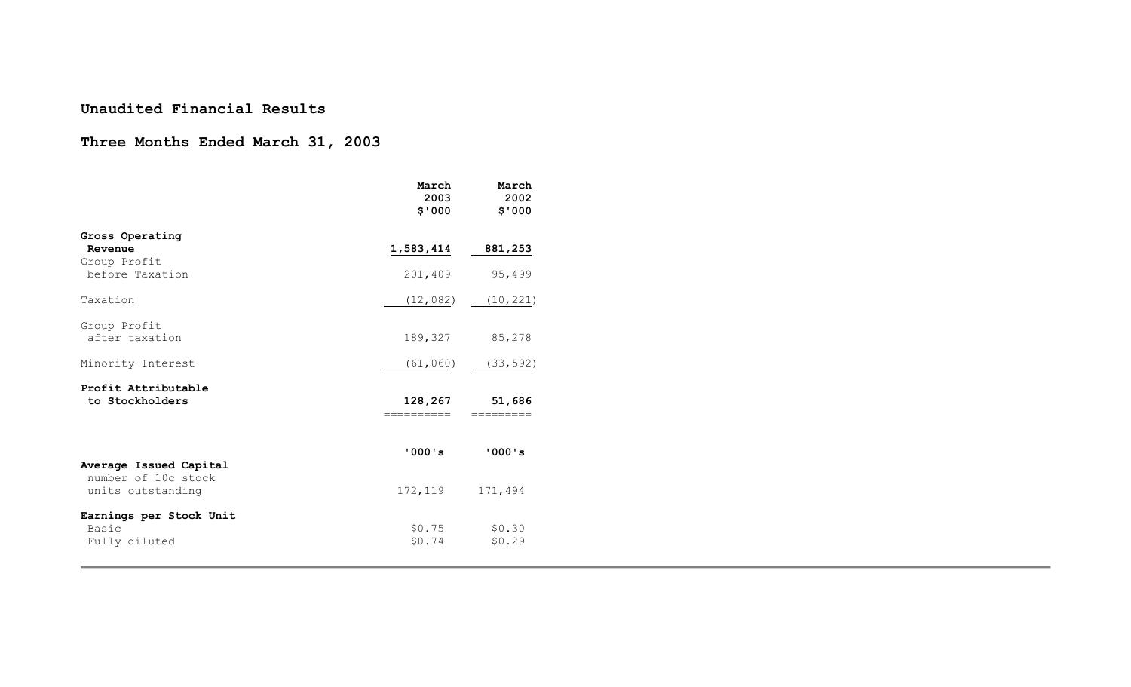#### **Unaudited Financial Results**

## **Three Months Ended March 31, 2003**

|                                                          | March<br>2003<br>\$'000 | March<br>2002<br>\$'000 |
|----------------------------------------------------------|-------------------------|-------------------------|
| Gross Operating<br>Revenue                               | 1,583,414               | 881,253                 |
| Group Profit<br>before Taxation                          | 201,409                 | 95,499                  |
| Taxation                                                 | (12, 082)               | (10, 221)               |
| Group Profit<br>after taxation                           |                         | 189, 327 85, 278        |
| Minority Interest                                        |                         | $(61, 060)$ $(33, 592)$ |
| Profit Attributable<br>to Stockholders                   | 128,267<br>—————————    | 51,686                  |
| Average Issued Capital<br>number of 10c stock            | '000's                  | '000's                  |
| units outstanding                                        | 172,119                 | 171,494                 |
| Earnings per Stock Unit<br><b>Basic</b><br>Fully diluted | \$0.75<br>\$0.74        | \$0.30<br>\$0.29        |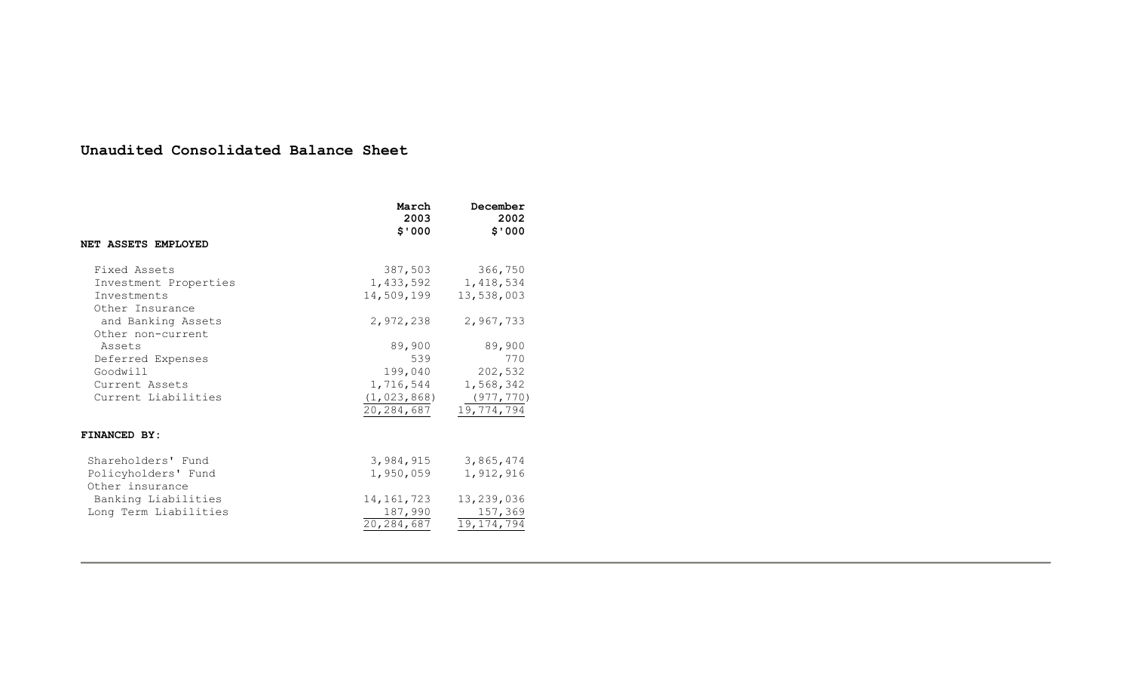## **Unaudited Consolidated Balance Sheet**

|                                                                                  | March<br>2003<br>000 ق                                               | December<br>2002<br>\$'000                                        |
|----------------------------------------------------------------------------------|----------------------------------------------------------------------|-------------------------------------------------------------------|
| NET ASSETS EMPLOYED                                                              |                                                                      |                                                                   |
| Fixed Assets<br>Investment Properties<br>Investments<br>Other Insurance          | 387,503<br>1,433,592<br>14,509,199                                   | 366,750<br>1,418,534<br>13,538,003                                |
| and Banking Assets<br>Other non-current                                          | 2,972,238                                                            | 2,967,733                                                         |
| Assets<br>Deferred Expenses<br>Goodwill<br>Current Assets<br>Current Liabilities | 89,900<br>539<br>199,040<br>1,716,544<br>(1, 023, 868)<br>20,284,687 | 89,900<br>770<br>202,532<br>1,568,342<br>(977, 770)<br>19,774,794 |
| FINANCED BY:                                                                     |                                                                      |                                                                   |
| Shareholders' Fund<br>Policyholders' Fund<br>Other insurance                     | 3,984,915<br>1,950,059                                               | 3,865,474<br>1,912,916                                            |
| Banking Liabilities<br>Long Term Liabilities                                     | 14, 161, 723<br>187,990<br>20, 284, 687                              | 13,239,036<br>157,369<br>19, 174, 794                             |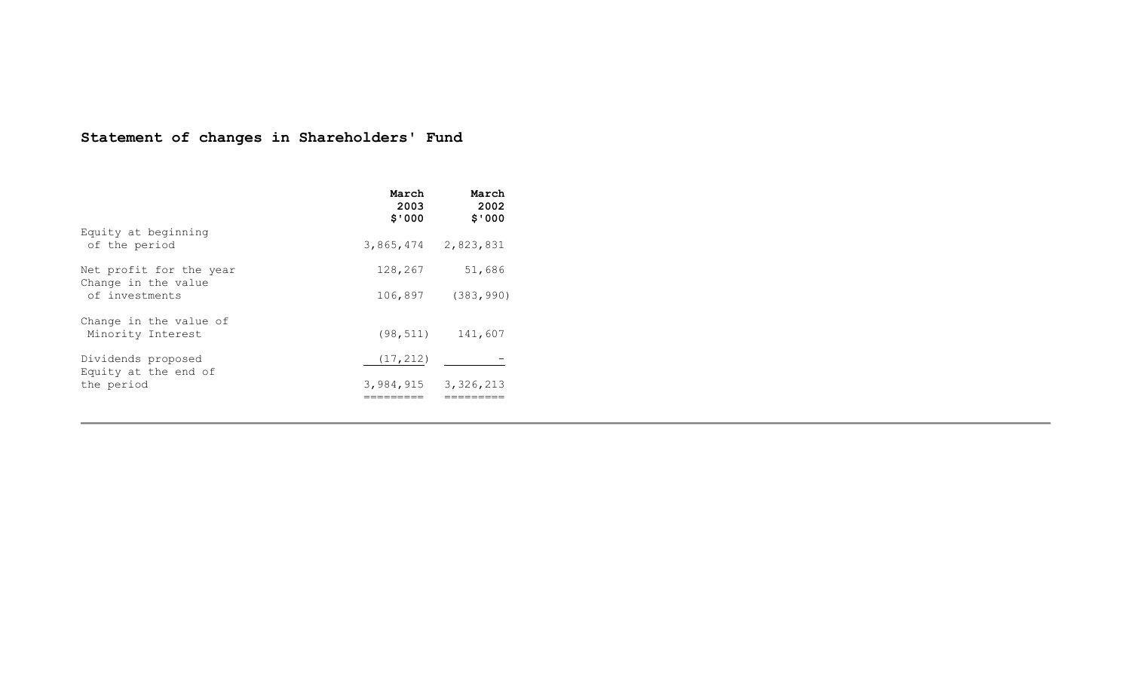# **Statement of changes in Shareholders' Fund**

|                                                                  | March<br>2003<br>\$'000 | March<br>2002<br>\$'000 |
|------------------------------------------------------------------|-------------------------|-------------------------|
| Equity at beginning<br>of the period                             | 3,865,474 2,823,831     |                         |
| Net profit for the year<br>Change in the value<br>of investments | 128,267<br>106,897      | 51,686<br>(383, 990)    |
| Change in the value of<br>Minority Interest                      |                         | $(98, 511)$ 141,607     |
| Dividends proposed<br>Equity at the end of                       | (17, 212)               |                         |
| the period                                                       | 3,984,915 3,326,213     |                         |